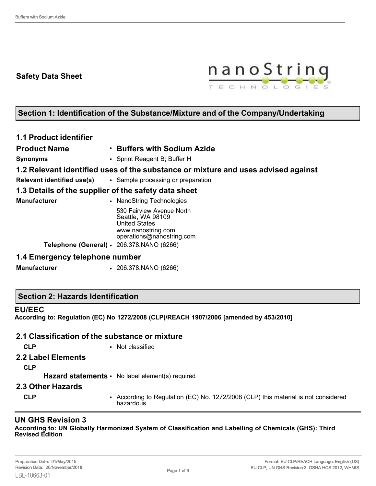## **Safety Data Sheet**



# **Section 1: Identification of the Substance/Mixture and of the Company/Undertaking**

| <b>1.1 Product identifier</b> |                                                                                                                           |
|-------------------------------|---------------------------------------------------------------------------------------------------------------------------|
| <b>Product Name</b>           | • Buffers with Sodium Azide                                                                                               |
| <b>Synonyms</b>               | • Sprint Reagent B; Buffer H                                                                                              |
|                               | 1.2 Relevant identified uses of the substance or mixture and uses advised against                                         |
|                               | <b>Relevant identified use(s)</b> • Sample processing or preparation                                                      |
|                               | 1.3 Details of the supplier of the safety data sheet                                                                      |
| <b>Manufacturer</b>           | • NanoString Technologies                                                                                                 |
|                               | 530 Fairview Avenue North<br>Seattle, WA 98109<br><b>United States</b><br>www.nanostring.com<br>operations@nanostring.com |
|                               | Telephone (General) · 206.378.NANO (6266)                                                                                 |
|                               |                                                                                                                           |

## **1.4 Emergency telephone number**

**Manufacturer** • 206.378.NANO (6266)

## **Section 2: Hazards Identification**

#### **EU/EEC**

**According to: Regulation (EC) No 1272/2008 (CLP)/REACH 1907/2006 [amended by 453/2010]**

## **2.1 Classification of the substance or mixture**

- **CLP** Not classified
- **2.2 Label Elements**

**CLP**

Hazard statements • No label element(s) required

#### **2.3 Other Hazards**

**CLP** • According to Regulation (EC) No. 1272/2008 (CLP) this material is not considered hazardous.

## **UN GHS Revision 3**

**According to: UN Globally Harmonized System of Classification and Labelling of Chemicals (GHS): Third Revised Edition**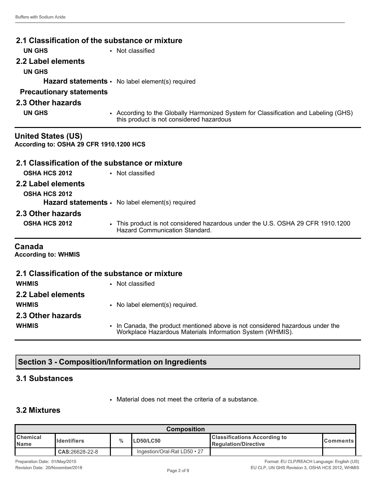| 2.1 Classification of the substance or mixture                       |                                                                                                                                 |
|----------------------------------------------------------------------|---------------------------------------------------------------------------------------------------------------------------------|
| <b>UN GHS</b>                                                        | • Not classified                                                                                                                |
| 2.2 Label elements                                                   |                                                                                                                                 |
| <b>UN GHS</b>                                                        |                                                                                                                                 |
|                                                                      | Hazard statements · No label element(s) required                                                                                |
| <b>Precautionary statements</b>                                      |                                                                                                                                 |
| 2.3 Other hazards                                                    |                                                                                                                                 |
| <b>UN GHS</b>                                                        | • According to the Globally Harmonized System for Classification and Labeling (GHS)<br>this product is not considered hazardous |
| <b>United States (US)</b><br>According to: OSHA 29 CFR 1910.1200 HCS |                                                                                                                                 |
| 2.1 Classification of the substance or mixture                       |                                                                                                                                 |
| <b>OSHA HCS 2012</b>                                                 | • Not classified                                                                                                                |
| 2.2 Label elements                                                   |                                                                                                                                 |
| <b>OSHA HCS 2012</b>                                                 |                                                                                                                                 |
|                                                                      | Hazard statements · No label element(s) required                                                                                |
| 2.3 Other hazards                                                    |                                                                                                                                 |
| OSHA HCS 2012                                                        | • This product is not considered hazardous under the U.S. OSHA 29 CFR 1910.1200<br>Hazard Communication Standard.               |
| Canada<br><b>According to: WHMIS</b>                                 |                                                                                                                                 |
| 2.1 Classification of the substance or mixture                       |                                                                                                                                 |
| <b>WHMIS</b>                                                         | • Not classified                                                                                                                |
| 2.2 Label elements                                                   |                                                                                                                                 |
| <b>WHMIS</b>                                                         | • No label element(s) required.                                                                                                 |

**2.3 Other hazards WHMIS** • In Canada, the product mentioned above is not considered hazardous under the Workplace Hazardous Materials Information System (WHMIS).

# **Section 3 - Composition/Information on Ingredients**

## **3.1 Substances**

• Material does not meet the criteria of a substance.

## **3.2 Mixtures**

| <b>Composition</b>             |                     |   |                                    |                                                                      |                  |
|--------------------------------|---------------------|---|------------------------------------|----------------------------------------------------------------------|------------------|
| <b>Chemical</b><br><b>Name</b> | <u>Ildentifiers</u> | % | LD50/LC50                          | <b>Classifications According to</b><br><b>I</b> Regulation/Directive | <b>IComments</b> |
|                                | CAS:26628-22-8      |   | Ingestion/Oral-Rat $LD50 \cdot 27$ |                                                                      |                  |

Preparation Date: 01/May/2015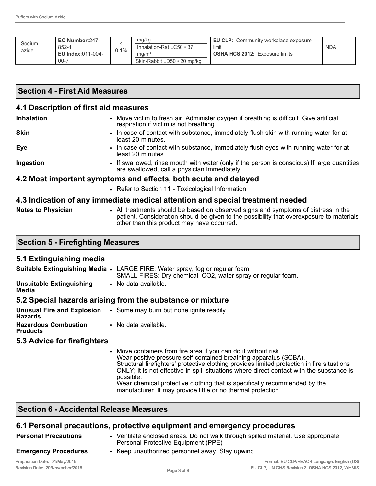| Sodium<br>azide | EC Number:247-<br>852-1<br>EU Index:011-004-<br>$00 - 7$ | $0.1\%$ | mg/kg<br>Inhalation-Rat LC50 • 37<br>ma/m <sup>3</sup><br>Skin-Rabbit LD50 • 20 mg/kg | EU CLP: Community workplace exposure<br>limit<br><b>OSHA HCS 2012: Exposure limits</b> | <b>NDA</b> |
|-----------------|----------------------------------------------------------|---------|---------------------------------------------------------------------------------------|----------------------------------------------------------------------------------------|------------|
|-----------------|----------------------------------------------------------|---------|---------------------------------------------------------------------------------------|----------------------------------------------------------------------------------------|------------|

## **Section 4 - First Aid Measures**

#### **4.1 Description of first aid measures**

| <b>Inhalation</b>         | • Move victim to fresh air. Administer oxygen if breathing is difficult. Give artificial<br>respiration if victim is not breathing.          |
|---------------------------|----------------------------------------------------------------------------------------------------------------------------------------------|
| <b>Skin</b>               | • In case of contact with substance, immediately flush skin with running water for at<br>least 20 minutes.                                   |
| <b>Eye</b>                | • In case of contact with substance, immediately flush eyes with running water for at<br>least 20 minutes.                                   |
| Ingestion                 | • If swallowed, rinse mouth with water (only if the person is conscious) If large quantities<br>are swallowed, call a physician immediately. |
|                           | 4.2 Most important symptoms and effects, both acute and delayed                                                                              |
|                           | • Refer to Section 11 - Toxicological Information.                                                                                           |
|                           | 4.3 Indication of any immediate medical attention and special treatment needed                                                               |
| <b>Notes to Physician</b> | • All treatments should be based on observed signs and symptoms of distress in the                                                           |

| <b>Notes to Physician</b> | All treatments should be based on observed signs and symptoms of distress in the         |  |
|---------------------------|------------------------------------------------------------------------------------------|--|
|                           | patient. Consideration should be given to the possibility that overexposure to materials |  |
|                           | other than this product may have occurred.                                               |  |

## **5.1 Extinguishing media**

**Media**

|                          | <b>Suitable Extinguishing Media •</b> LARGE FIRE: Water spray, fog or regular foam.<br>SMALL FIRES: Dry chemical, CO2, water spray or regular foam. |
|--------------------------|-----------------------------------------------------------------------------------------------------------------------------------------------------|
| Unsuitable Extinguishing | • No data available.                                                                                                                                |

#### **5.2 Special hazards arising from the substance or mixture**

| <b>Unusual Fire and Explosion</b><br><b>Hazards</b> | • Some may burn but none ignite readily. |
|-----------------------------------------------------|------------------------------------------|
| <b>Hazardous Combustion</b><br><b>Products</b>      | • No data available.                     |

#### **5.3 Advice for firefighters**

• Move containers from fire area if you can do it without risk. Wear positive pressure self-contained breathing apparatus (SCBA). Structural firefighters' protective clothing provides limited protection in fire situations ONLY; it is not effective in spill situations where direct contact with the substance is possible. Wear chemical protective clothing that is specifically recommended by the manufacturer. It may provide little or no thermal protection.

## **Section 6 - Accidental Release Measures**

## **6.1 Personal precautions, protective equipment and emergency procedures**

| <b>Personal Precautions</b> | Ventilate enclosed areas. Do not walk through spilled material. Use appropriate<br>Personal Protective Equipment (PPE) |
|-----------------------------|------------------------------------------------------------------------------------------------------------------------|
| <b>Emergency Procedures</b> | Keep unauthorized personnel away. Stay upwind.                                                                         |
|                             |                                                                                                                        |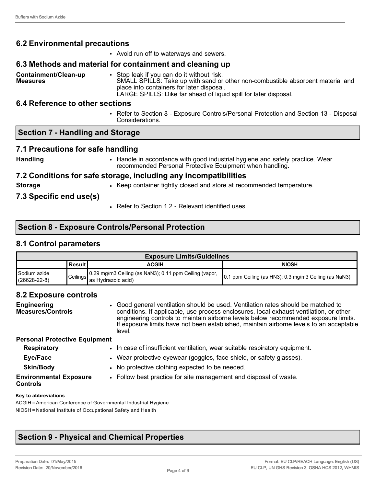## **6.2 Environmental precautions**

• Avoid run off to waterways and sewers.

### **6.3 Methods and material for containment and cleaning up**

**Containment/Clean-up Measures** • Stop leak if you can do it without risk. SMALL SPILLS: Take up with sand or other non-combustible absorbent material and place into containers for later disposal.

LARGE SPILLS: Dike far ahead of liquid spill for later disposal.

## **6.4 Reference to other sections**

• Refer to Section 8 - Exposure Controls/Personal Protection and Section 13 - Disposal Considerations.

## **Section 7 - Handling and Storage**

## **7.1 Precautions for safe handling**

- 
- **Handling •** Handle in accordance with good industrial hygiene and safety practice. Wear recommended Personal Protective Equipment when handling.

## **7.2 Conditions for safe storage, including any incompatibilities**

- 
- **Storage •** Keep container tightly closed and store at recommended temperature.

## **7.3 Specific end use(s)**

• Refer to Section 1.2 - Relevant identified uses.

## **Section 8 - Exposure Controls/Personal Protection**

## **8.1 Control parameters**

| <b>Exposure Limits/Guidelines</b>    |           |                                                                               |                                                              |  |  |
|--------------------------------------|-----------|-------------------------------------------------------------------------------|--------------------------------------------------------------|--|--|
|                                      | ∣Result I | ACGIH                                                                         | <b>NIOSH</b>                                                 |  |  |
| l Sodium azide<br>$(26628 - 22 - 8)$ | Ceilings  | 0.29 mg/m3 Ceiling (as NaN3); 0.11 ppm Ceiling (vapor,<br>las Hvdrazoic acid) | <b>0.1 ppm Ceiling (as HN3); 0.3 mg/m3 Ceiling (as NaN3)</b> |  |  |

## **8.2 Exposure controls**

| <b>Engineering</b><br><b>Measures/Controls</b>   | • Good general ventilation should be used. Ventilation rates should be matched to<br>conditions. If applicable, use process enclosures, local exhaust ventilation, or other<br>engineering controls to maintain airborne levels below recommended exposure limits.<br>If exposure limits have not been established, maintain airborne levels to an acceptable<br>level. |
|--------------------------------------------------|-------------------------------------------------------------------------------------------------------------------------------------------------------------------------------------------------------------------------------------------------------------------------------------------------------------------------------------------------------------------------|
| <b>Personal Protective Equipment</b>             |                                                                                                                                                                                                                                                                                                                                                                         |
| <b>Respiratory</b>                               | • In case of insufficient ventilation, wear suitable respiratory equipment.                                                                                                                                                                                                                                                                                             |
| Eye/Face                                         | • Wear protective eyewear (goggles, face shield, or safety glasses).                                                                                                                                                                                                                                                                                                    |
| <b>Skin/Body</b>                                 | • No protective clothing expected to be needed.                                                                                                                                                                                                                                                                                                                         |
| <b>Environmental Exposure</b><br><b>Controls</b> | • Follow best practice for site management and disposal of waste.                                                                                                                                                                                                                                                                                                       |

#### **Key to abbreviations**

ACGIH = American Conference of Governmental Industrial Hygiene NIOSH = National Institute of Occupational Safety and Health

## **Section 9 - Physical and Chemical Properties**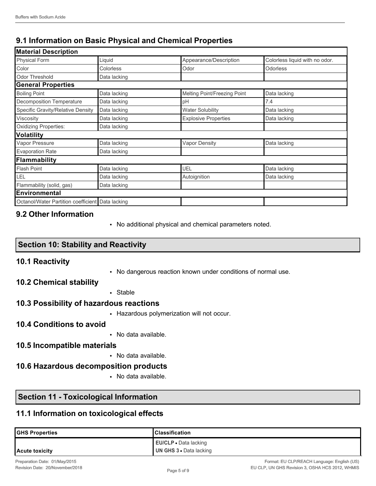# **9.1 Information on Basic Physical and Chemical Properties**

| <b>Material Description</b>                      |              |                              |                                |  |  |  |  |
|--------------------------------------------------|--------------|------------------------------|--------------------------------|--|--|--|--|
| <b>Physical Form</b>                             | Liquid       | Appearance/Description       | Colorless liquid with no odor. |  |  |  |  |
| Color                                            | Colorless    | Odor                         | Odorless                       |  |  |  |  |
| <b>Odor Threshold</b>                            | Data lacking |                              |                                |  |  |  |  |
| <b>General Properties</b>                        |              |                              |                                |  |  |  |  |
| <b>Boiling Point</b>                             | Data lacking | Melting Point/Freezing Point | Data lacking                   |  |  |  |  |
| Decomposition Temperature                        | Data lacking | pH                           | 7.4                            |  |  |  |  |
| Specific Gravity/Relative Density                | Data lacking | <b>Water Solubility</b>      | Data lacking                   |  |  |  |  |
| Viscosity                                        | Data lacking | <b>Explosive Properties</b>  | Data lacking                   |  |  |  |  |
| <b>Oxidizing Properties:</b>                     | Data lacking |                              |                                |  |  |  |  |
| <b>Volatility</b>                                |              |                              |                                |  |  |  |  |
| Vapor Pressure                                   | Data lacking | <b>Vapor Density</b>         | Data lacking                   |  |  |  |  |
| <b>Evaporation Rate</b>                          | Data lacking |                              |                                |  |  |  |  |
| <b>Flammability</b>                              |              |                              |                                |  |  |  |  |
| <b>Flash Point</b>                               | Data lacking | <b>UEL</b>                   | Data lacking                   |  |  |  |  |
| LEL                                              | Data lacking | Autoignition                 | Data lacking                   |  |  |  |  |
| Flammability (solid, gas)                        | Data lacking |                              |                                |  |  |  |  |
| <b>Environmental</b>                             |              |                              |                                |  |  |  |  |
| Octanol/Water Partition coefficient Data lacking |              |                              |                                |  |  |  |  |

## **9.2 Other Information**

• No additional physical and chemical parameters noted.

## **Section 10: Stability and Reactivity**

## **10.1 Reactivity**

• No dangerous reaction known under conditions of normal use.

## **10.2 Chemical stability**

• Stable

## **10.3 Possibility of hazardous reactions**

• Hazardous polymerization will not occur.

### **10.4 Conditions to avoid**

• No data available.

## **10.5 Incompatible materials**

• No data available.

## **10.6 Hazardous decomposition products**

• No data available.

# **Section 11 - Toxicological Information**

# **11.1 Information on toxicological effects**

| <b>GHS Properties</b> | <b>IClassification</b>       |
|-----------------------|------------------------------|
|                       | <b>EU/CLP</b> • Data lacking |
| Acute toxicity        | UN GHS 3 • Data lacking      |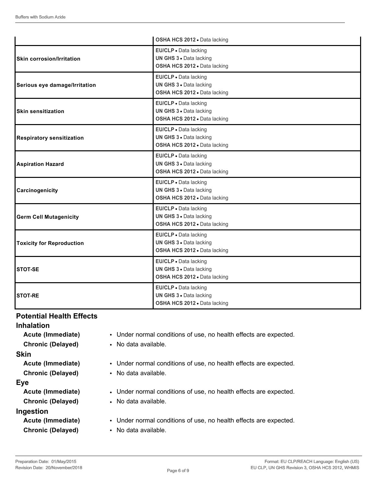|                                  | OSHA HCS 2012 . Data lacking                                                     |
|----------------------------------|----------------------------------------------------------------------------------|
| <b>Skin corrosion/Irritation</b> | EU/CLP · Data lacking<br>UN GHS 3 · Data lacking<br>OSHA HCS 2012 . Data lacking |
| Serious eye damage/Irritation    | EU/CLP . Data lacking<br>UN GHS 3 · Data lacking<br>OSHA HCS 2012 . Data lacking |
| <b>Skin sensitization</b>        | EU/CLP · Data lacking<br>UN GHS 3 · Data lacking<br>OSHA HCS 2012 . Data lacking |
| <b>Respiratory sensitization</b> | EU/CLP · Data lacking<br>UN GHS 3 . Data lacking<br>OSHA HCS 2012 . Data lacking |
| <b>Aspiration Hazard</b>         | EU/CLP · Data lacking<br>UN GHS 3 . Data lacking<br>OSHA HCS 2012 . Data lacking |
| Carcinogenicity                  | EU/CLP · Data lacking<br>UN GHS 3 · Data lacking<br>OSHA HCS 2012 . Data lacking |
| <b>Germ Cell Mutagenicity</b>    | EU/CLP · Data lacking<br>UN GHS 3 . Data lacking<br>OSHA HCS 2012 . Data lacking |
| <b>Toxicity for Reproduction</b> | EU/CLP · Data lacking<br>UN GHS 3 . Data lacking<br>OSHA HCS 2012 . Data lacking |
| <b>STOT-SE</b>                   | EU/CLP · Data lacking<br>UN GHS 3 . Data lacking<br>OSHA HCS 2012 . Data lacking |
| <b>STOT-RE</b>                   | EU/CLP · Data lacking<br>UN GHS 3 . Data lacking<br>OSHA HCS 2012 · Data lacking |

## **Potential Health Effects**

**Inhalation**

#### **Skin**

#### **Eye**

## **Ingestion**

- **Acute (Immediate)** Under normal conditions of use, no health effects are expected.
- **Chronic (Delayed)** No data available.
- **Acute (Immediate)** Under normal conditions of use, no health effects are expected.
- **Chronic (Delayed)** No data available.
- **Acute (Immediate)** Under normal conditions of use, no health effects are expected.
- **Chronic (Delayed)** No data available.
- **Acute (Immediate)** Under normal conditions of use, no health effects are expected.
- **Chronic (Delayed)** No data available.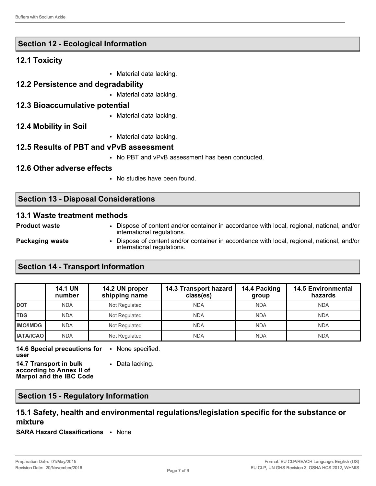## **Section 12 - Ecological Information**

#### **12.1 Toxicity**

- Material data lacking.
- **12.2 Persistence and degradability**
	- Material data lacking.

#### **12.3 Bioaccumulative potential**

• Material data lacking.

### **12.4 Mobility in Soil**

• Material data lacking.

### **12.5 Results of PBT and vPvB assessment**

• No PBT and vPvB assessment has been conducted.

#### **12.6 Other adverse effects**

• No studies have been found.

international regulations.

## **Section 13 - Disposal Considerations**

#### **13.1 Waste treatment methods**

| <b>Product waste</b> | Dispose of content and/or container in accordance with local, regional, national, and/or<br>international regulations. |
|----------------------|------------------------------------------------------------------------------------------------------------------------|
| Packaging waste      | Dispose of content and/or container in accordance with local, regional, national, and/or                               |

## **Section 14 - Transport Information**

|                  | <b>14.1 UN</b><br>number | 14.2 UN proper<br>shipping name | 14.3 Transport hazard<br>class(es) | 14.4 Packing<br>group | <b>14.5 Environmental</b><br>hazards |
|------------------|--------------------------|---------------------------------|------------------------------------|-----------------------|--------------------------------------|
| <b>DOT</b>       | <b>NDA</b>               | Not Regulated                   | <b>NDA</b>                         | <b>NDA</b>            | <b>NDA</b>                           |
| <b>TDG</b>       | <b>NDA</b>               | Not Regulated                   | <b>NDA</b>                         | <b>NDA</b>            | <b>NDA</b>                           |
| <b>IMO/IMDG</b>  | <b>NDA</b>               | Not Regulated                   | <b>NDA</b>                         | <b>NDA</b>            | <b>NDA</b>                           |
| <b>IATA/ICAO</b> | <b>NDA</b>               | Not Regulated                   | <b>NDA</b>                         | <b>NDA</b>            | <b>NDA</b>                           |

**14.6 Special precautions for**  • None specified. **user**

**14.7 Transport in bulk according to Annex II of Marpol and the IBC Code** • Data lacking.

**Section 15 - Regulatory Information**

## **15.1 Safety, health and environmental regulations/legislation specific for the substance or mixture**

**SARA Hazard Classifications** • None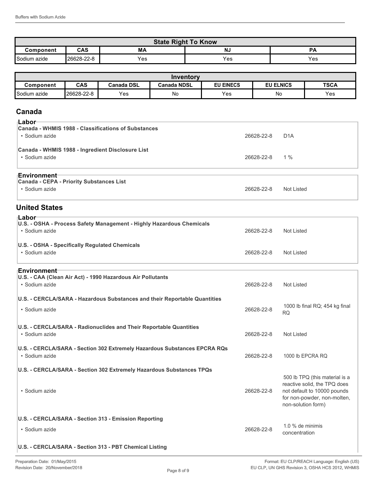| <b>State Right To Know</b>          |            |     |     |     |
|-------------------------------------|------------|-----|-----|-----|
| CAS<br>N.,<br>МA<br>oд<br>Component |            |     |     |     |
| Sodium azide                        | 26628-22-8 | Yes | Yes | Yes |

| Inventory    |            |            |                    |                  |                  |             |
|--------------|------------|------------|--------------------|------------------|------------------|-------------|
| Component    | <b>CAS</b> | Canada DSL | <b>Canada NDSL</b> | <b>EU EINECS</b> | <b>EU ELNICS</b> | <b>TSCA</b> |
| Sodium azide | 26628-22-8 | Yes        | No                 | Yes              | No               | Yes         |

## **Canada**

| ⊦Labor                                                                |            |                  |
|-----------------------------------------------------------------------|------------|------------------|
| Canada - WHMIS 1988 - Classifications of Substances<br>• Sodium azide | 26628-22-8 | D <sub>1</sub> A |
| Canada - WHMIS 1988 - Ingredient Disclosure List<br>• Sodium azide    | 26628-22-8 | 1 %              |
| ⊺Environment⊤                                                         |            |                  |
| Canada - CEPA - Priority Substances List                              |            |                  |
| $\cdot$ Sodium azide                                                  | 26628-22-8 | Not Listed       |

## **United States**

| ⊺Labor<br>U.S. - OSHA - Process Safety Management - Highly Hazardous Chemicals<br>• Sodium azide | 26628-22-8 | Not Listed |
|--------------------------------------------------------------------------------------------------|------------|------------|
| U.S. - OSHA - Specifically Regulated Chemicals<br>• Sodium azide                                 | 26628-22-8 | Not Listed |

#### **Environment**

| U.S. - CAA (Clean Air Act) - 1990 Hazardous Air Pollutants<br>• Sodium azide                | 26628-22-8 | Not Listed                                                                                                                                         |
|---------------------------------------------------------------------------------------------|------------|----------------------------------------------------------------------------------------------------------------------------------------------------|
| U.S. - CERCLA/SARA - Hazardous Substances and their Reportable Quantities<br>• Sodium azide | 26628-22-8 | 1000 lb final RQ; 454 kg final<br><b>RQ</b>                                                                                                        |
| U.S. - CERCLA/SARA - Radionuclides and Their Reportable Quantities<br>• Sodium azide        | 26628-22-8 | <b>Not Listed</b>                                                                                                                                  |
| U.S. - CERCLA/SARA - Section 302 Extremely Hazardous Substances EPCRA RQs<br>• Sodium azide | 26628-22-8 | 1000 lb EPCRA RQ                                                                                                                                   |
| U.S. - CERCLA/SARA - Section 302 Extremely Hazardous Substances TPQs<br>• Sodium azide      | 26628-22-8 | 500 lb TPQ (this material is a<br>reactive solid, the TPQ does<br>not default to 10000 pounds<br>for non-powder, non-molten,<br>non-solution form) |
| U.S. - CERCLA/SARA - Section 313 - Emission Reporting<br>• Sodium azide                     | 26628-22-8 | $1.0\%$ de minimis<br>concentration                                                                                                                |
| U.S. - CERCLA/SARA - Section 313 - PBT Chemical Listing                                     |            |                                                                                                                                                    |

• Sodium azide 26628-22-8 Not Listed